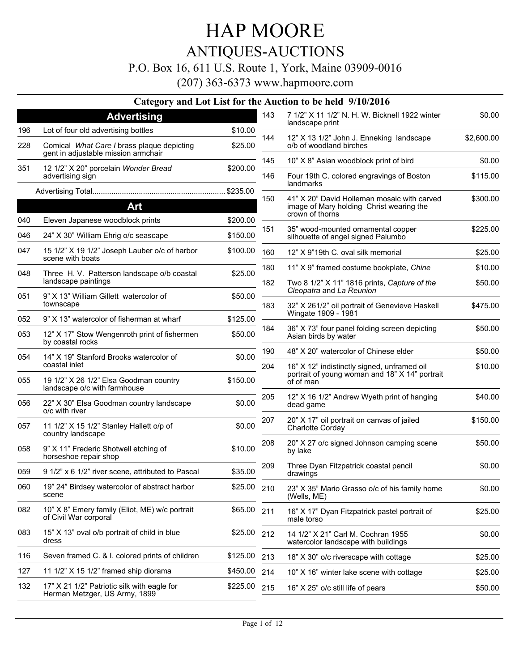### ANTIQUES-AUCTIONS

### P.O. Box 16, 611 U.S. Route 1, York, Maine 03909-0016

|     |                                                                                   |          |                | Category and Lot List for the Auction to be held 9/10/2016                |            |
|-----|-----------------------------------------------------------------------------------|----------|----------------|---------------------------------------------------------------------------|------------|
|     | <b>Advertising</b>                                                                |          | 143            | 7 1/2" X 11 1/2" N. H. W. Bicknell 1922 winter<br>landscape print         | \$0.00     |
| 196 | Lot of four old advertising bottles                                               | \$10.00  | 144            | 12" X 13 1/2" John J. Enneking landscape                                  | \$2,600.00 |
| 228 | Comical What Care I brass plaque depicting<br>gent in adjustable mission armchair | \$25.00  |                | o/b of woodland birches                                                   |            |
| 351 | 12 1/2" X 20" porcelain Wonder Bread                                              | \$200.00 | 145            | 10" X 8" Asian woodblock print of bird                                    | \$0.00     |
|     | advertising sign                                                                  |          | 146            | Four 19th C. colored engravings of Boston<br>landmarks                    | \$115.00   |
|     |                                                                                   |          | 150            | 41" X 20" David Holleman mosaic with carved                               | \$300.00   |
|     | Art                                                                               |          |                | image of Mary holding Christ wearing the<br>crown of thorns               |            |
| 040 | Eleven Japanese woodblock prints                                                  | \$200.00 |                |                                                                           |            |
| 046 | 24" X 30" William Ehrig o/c seascape                                              | \$150.00 | 151            | 35" wood-mounted ornamental copper<br>silhouette of angel signed Palumbo  | \$225.00   |
| 047 | 15 1/2" X 19 1/2" Joseph Lauber o/c of harbor<br>scene with boats                 | \$100.00 | 160            | 12" X 9"19th C. oval silk memorial                                        | \$25.00    |
| 048 | Three H. V. Patterson landscape o/b coastal                                       | \$25.00  | 180            | 11" X 9" framed costume bookplate, Chine                                  | \$10.00    |
|     | landscape paintings                                                               |          | 182            | Two 8 1/2" X 11" 1816 prints, Capture of the<br>Cleopatra and La Reunion  | \$50.00    |
| 051 | 9" X 13" William Gillett watercolor of<br>townscape                               |          | \$50.00<br>183 | 32" X 261/2" oil portrait of Genevieve Haskell                            | \$475.00   |
| 052 | 9" X 13" watercolor of fisherman at wharf                                         | \$125.00 |                | Wingate 1909 - 1981                                                       |            |
| 053 | 12" X 17" Stow Wengenroth print of fishermen<br>by coastal rocks                  | \$50.00  | 184            | 36" X 73" four panel folding screen depicting<br>Asian birds by water     | \$50.00    |
| 054 | 14" X 19" Stanford Brooks watercolor of                                           |          | 190            | 48" X 20" watercolor of Chinese elder                                     | \$50.00    |
|     | coastal inlet                                                                     | \$0.00   | 204            | 16" X 12" indistinctly signed, unframed oil                               | \$10.00    |
| 055 | 19 1/2" X 26 1/2" Elsa Goodman country<br>landscape o/c with farmhouse            | \$150.00 |                | portrait of young woman and 18" X 14" portrait<br>of of man               |            |
| 056 | 22" X 30" Elsa Goodman country landscape<br>o/c with river                        | \$0.00   | 205            | 12" X 16 1/2" Andrew Wyeth print of hanging<br>dead game                  | \$40.00    |
| 057 | 11 1/2" X 15 1/2" Stanley Hallett o/p of<br>country landscape                     | \$0.00   | 207            | 20" X 17" oil portrait on canvas of jailed<br>Charlotte Corday            | \$150.00   |
| 058 | 9" X 11" Frederic Shotwell etching of<br>horseshoe repair shop                    | \$10.00  | 208            | 20" X 27 o/c signed Johnson camping scene<br>by lake                      | \$50.00    |
| 059 | 9 1/2" x 6 1/2" river scene, attributed to Pascal                                 | \$35.00  | 209            | Three Dyan Fitzpatrick coastal pencil<br>drawings                         | \$0.00     |
| 060 | 19" 24" Birdsey watercolor of abstract harbor<br>scene                            | \$25.00  | 210            | 23" X 35" Mario Grasso o/c of his family home<br>(Wells, ME)              | \$0.00     |
| 082 | 10" X 8" Emery family (Eliot, ME) w/c portrait<br>of Civil War corporal           | \$65.00  | 211            | 16" X 17" Dyan Fitzpatrick pastel portrait of<br>male torso               | \$25.00    |
| 083 | 15" X 13" oval o/b portrait of child in blue<br>dress                             | \$25.00  | 212            | 14 1/2" X 21" Carl M. Cochran 1955<br>watercolor landscape with buildings | \$0.00     |
| 116 | Seven framed C. & I. colored prints of children                                   | \$125.00 | 213            | 18" X 30" o/c riverscape with cottage                                     | \$25.00    |
| 127 | 11 1/2" X 15 1/2" framed ship diorama                                             | \$450.00 | 214            | 10" X 16" winter lake scene with cottage                                  | \$25.00    |
| 132 | 17" X 21 1/2" Patriotic silk with eagle for<br>Herman Metzger, US Army, 1899      | \$225.00 | 215            | 16" X 25" o/c still life of pears                                         | \$50.00    |
|     |                                                                                   |          |                |                                                                           |            |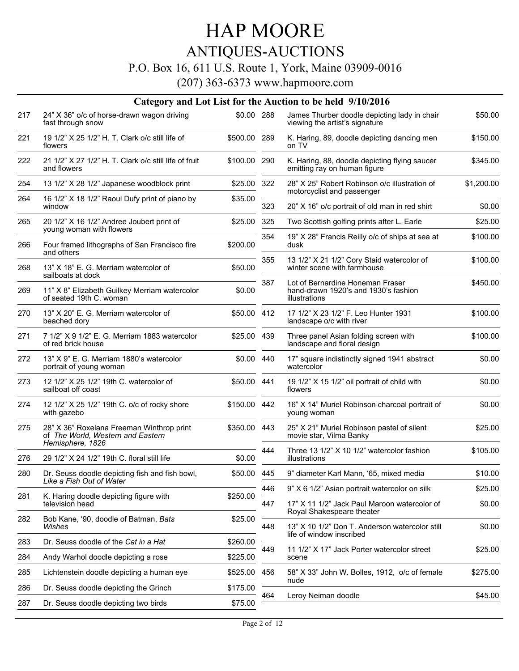## ANTIQUES-AUCTIONS

### P.O. Box 16, 611 U.S. Route 1, York, Maine 03909-0016

|     | Category and Lot List for the Auction to be held 9/10/2016                                         |              |     |                                                                                           |            |  |  |
|-----|----------------------------------------------------------------------------------------------------|--------------|-----|-------------------------------------------------------------------------------------------|------------|--|--|
| 217 | 24" X 36" o/c of horse-drawn wagon driving<br>fast through snow                                    | \$0.00 288   |     | James Thurber doodle depicting lady in chair<br>viewing the artist's signature            | \$50.00    |  |  |
| 221 | 19 1/2" X 25 1/2" H. T. Clark o/c still life of<br>flowers                                         | \$500.00 289 |     | K. Haring, 89, doodle depicting dancing men<br>on TV                                      | \$150.00   |  |  |
| 222 | 21 1/2" X 27 1/2" H. T. Clark o/c still life of fruit<br>and flowers                               | \$100.00 290 |     | K. Haring, 88, doodle depicting flying saucer<br>emitting ray on human figure             | \$345.00   |  |  |
| 254 | 13 1/2" X 28 1/2" Japanese woodblock print                                                         | \$25.00 322  |     | 28" X 25" Robert Robinson o/c illustration of<br>motorcyclist and passenger               | \$1,200.00 |  |  |
| 264 | 16 1/2" X 18 1/2" Raoul Dufy print of piano by<br>window                                           | \$35.00      | 323 | 20" X 16" o/c portrait of old man in red shirt                                            | \$0.00     |  |  |
| 265 | 20 1/2" X 16 1/2" Andree Joubert print of<br>young woman with flowers                              | \$25.00      | 325 | Two Scottish golfing prints after L. Earle                                                | \$25.00    |  |  |
| 266 | Four framed lithographs of San Francisco fire<br>and others                                        | \$200.00     | 354 | 19" X 28" Francis Reilly o/c of ships at sea at<br>dusk                                   | \$100.00   |  |  |
| 268 | 13" X 18" E. G. Merriam watercolor of<br>sailboats at dock                                         | \$50.00      | 355 | 13 1/2" X 21 1/2" Cory Staid watercolor of<br>winter scene with farmhouse                 | \$100.00   |  |  |
| 269 | 11" X 8" Elizabeth Guilkey Merriam watercolor<br>of seated 19th C. woman                           | \$0.00       | 387 | Lot of Bernardine Honeman Fraser<br>hand-drawn 1920's and 1930's fashion<br>illustrations | \$450.00   |  |  |
| 270 | 13" X 20" E. G. Merriam watercolor of<br>beached dory                                              | \$50.00 412  |     | 17 1/2" X 23 1/2" F. Leo Hunter 1931<br>landscape o/c with river                          | \$100.00   |  |  |
| 271 | 7 1/2" X 9 1/2" E. G. Merriam 1883 watercolor<br>of red brick house                                | \$25.00 439  |     | Three panel Asian folding screen with<br>landscape and floral design                      | \$100.00   |  |  |
| 272 | 13" X 9" E. G. Merriam 1880's watercolor<br>portrait of young woman                                | \$0.00 440   |     | 17" square indistinctly signed 1941 abstract<br>watercolor                                | \$0.00     |  |  |
| 273 | 12 1/2" X 25 1/2" 19th C. watercolor of<br>sailboat off coast                                      | \$50.00 441  |     | 19 1/2" X 15 1/2" oil portrait of child with<br>flowers                                   | \$0.00     |  |  |
| 274 | 12 1/2" X 25 1/2" 19th C. o/c of rocky shore<br>with gazebo                                        | \$150.00 442 |     | 16" X 14" Muriel Robinson charcoal portrait of<br>young woman                             | \$0.00     |  |  |
| 275 | 28" X 36" Roxelana Freeman Winthrop print<br>of The World, Western and Eastern<br>Hemisphere, 1826 | \$350.00 443 |     | 25" X 21" Muriel Robinson pastel of silent<br>movie star, Vilma Banky                     | \$25.00    |  |  |
| 276 | 29 1/2" X 24 1/2" 19th C. floral still life                                                        | \$0.00       | 444 | Three 13 1/2" X 10 1/2" watercolor fashion<br>illustrations                               | \$105.00   |  |  |
| 280 | Dr. Seuss doodle depicting fish and fish bowl,<br>Like a Fish Out of Water                         | \$50.00 445  |     | 9" diameter Karl Mann, '65, mixed media                                                   | \$10.00    |  |  |
|     |                                                                                                    |              | 446 | 9" X 6 1/2" Asian portrait watercolor on silk                                             | \$25.00    |  |  |
| 281 | K. Haring doodle depicting figure with<br>television head                                          | \$250.00     | 447 | 17" X 11 1/2" Jack Paul Maroon watercolor of<br>Royal Shakespeare theater                 | \$0.00     |  |  |
| 282 | Bob Kane, '90, doodle of Batman, Bats<br>Wishes                                                    | \$25.00      | 448 | 13" X 10 1/2" Don T. Anderson watercolor still<br>life of window inscribed                | \$0.00     |  |  |
| 283 | Dr. Seuss doodle of the Cat in a Hat                                                               | \$260.00     |     |                                                                                           |            |  |  |
| 284 | Andy Warhol doodle depicting a rose                                                                | \$225.00     | 449 | 11 1/2" X 17" Jack Porter watercolor street<br>scene                                      | \$25.00    |  |  |
| 285 | Lichtenstein doodle depicting a human eye                                                          | \$525.00     | 456 | 58" X 33" John W. Bolles, 1912, o/c of female<br>nude                                     | \$275.00   |  |  |
| 286 | Dr. Seuss doodle depicting the Grinch                                                              | \$175.00     | 464 | Leroy Neiman doodle                                                                       | \$45.00    |  |  |
| 287 | Dr. Seuss doodle depicting two birds                                                               | \$75.00      |     |                                                                                           |            |  |  |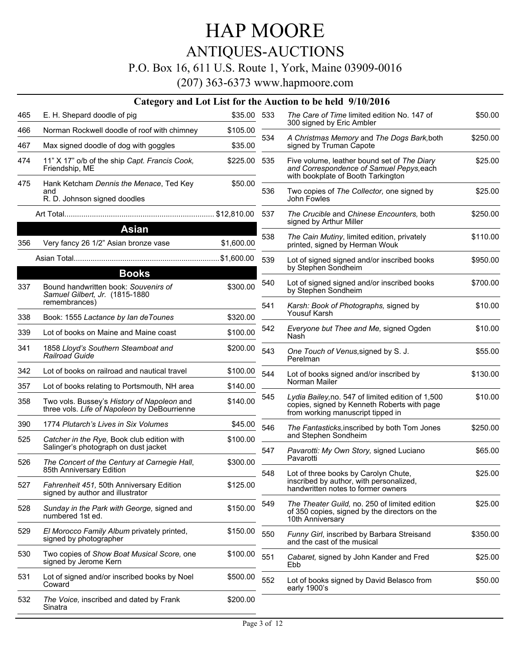## ANTIQUES-AUCTIONS

### P.O. Box 16, 611 U.S. Route 1, York, Maine 03909-0016

|     |                                                                                                          |              |     | Category and Lot List for the Auction to be held 9/10/2016                                                                            |          |
|-----|----------------------------------------------------------------------------------------------------------|--------------|-----|---------------------------------------------------------------------------------------------------------------------------------------|----------|
| 465 | E. H. Shepard doodle of pig                                                                              | \$35.00 533  |     | The Care of Time limited edition No. 147 of                                                                                           | \$50.00  |
| 466 | Norman Rockwell doodle of roof with chimney                                                              | \$105.00     |     | 300 signed by Eric Ambler                                                                                                             |          |
| 467 | Max signed doodle of dog with goggles                                                                    | \$35.00      | 534 | A Christmas Memory and The Dogs Bark, both<br>signed by Truman Capote                                                                 | \$250.00 |
| 474 | 11" X 17" o/b of the ship Capt. Francis Cook,<br>Friendship, ME                                          | \$225.00 535 |     | Five volume, leather bound set of The Diary<br>and Correspondence of Samuel Pepys, each                                               | \$25.00  |
| 475 | Hank Ketcham Dennis the Menace, Ted Key<br>and<br>R. D. Johnson signed doodles                           | \$50.00      | 536 | with bookplate of Booth Tarkington<br>Two copies of The Collector, one signed by<br>John Fowles                                       | \$25.00  |
|     |                                                                                                          |              | 537 | The Crucible and Chinese Encounters, both<br>signed by Arthur Miller                                                                  | \$250.00 |
| 356 | <b>Asian</b><br>Very fancy 26 1/2" Asian bronze vase                                                     | \$1,600.00   | 538 | The Cain Mutiny, limited edition, privately<br>printed, signed by Herman Wouk                                                         | \$110.00 |
|     |                                                                                                          |              | 539 | Lot of signed signed and/or inscribed books<br>by Stephen Sondheim                                                                    | \$950.00 |
|     | <b>Books</b>                                                                                             |              |     |                                                                                                                                       |          |
| 337 | Bound handwritten book: Souvenirs of<br>Samuel Gilbert, Jr. (1815-1880                                   | \$300.00     | 540 | Lot of signed signed and/or inscribed books<br>by Stephen Sondheim                                                                    | \$700.00 |
|     | remembrances)                                                                                            |              | 541 | Karsh: Book of Photographs, signed by<br>Yousuf Karsh                                                                                 | \$10.00  |
| 338 | Book: 1555 Lactance by lan de Tounes                                                                     | \$320.00     | 542 | Everyone but Thee and Me, signed Ogden                                                                                                | \$10.00  |
| 339 | Lot of books on Maine and Maine coast                                                                    | \$100.00     |     | Nash                                                                                                                                  |          |
| 341 | 1858 Lloyd's Southern Steamboat and<br>Railroad Guide                                                    | \$200.00     | 543 | One Touch of Venus, signed by S. J.<br>Perelman                                                                                       | \$55.00  |
| 342 | Lot of books on railroad and nautical travel                                                             | \$100.00     | 544 | Lot of books signed and/or inscribed by                                                                                               | \$130.00 |
| 357 | Lot of books relating to Portsmouth, NH area                                                             | \$140.00     |     | Norman Mailer                                                                                                                         |          |
| 358 | Two vols. Bussey's History of Napoleon and<br>three vols. Life of Napoleon by DeBourrienne               | \$140.00     | 545 | Lydia Bailey, no. 547 of limited edition of 1,500<br>copies, signed by Kenneth Roberts with page<br>from working manuscript tipped in | \$10.00  |
| 390 | 1774 Plutarch's Lives in Six Volumes                                                                     | \$45.00      | 546 | The Fantasticks, inscribed by both Tom Jones                                                                                          | \$250.00 |
| 525 | Catcher in the Rye, Book club edition with<br>Salinger's photograph on dust jacket                       | \$100.00     |     | and Stephen Sondheim                                                                                                                  |          |
| 526 | The Concert of the Century at Carnegie Hall,                                                             | \$300.00     | 547 | Pavarotti: My Own Story, signed Luciano<br>Pavarotti                                                                                  | \$65.00  |
| 527 | 85th Anniversary Edition<br>Fahrenheit 451, 50th Anniversary Edition<br>signed by author and illustrator | \$125.00     | 548 | Lot of three books by Carolyn Chute,<br>inscribed by author, with personalized,<br>handwritten notes to former owners                 | \$25.00  |
| 528 | Sunday in the Park with George, signed and<br>numbered 1st ed.                                           | \$150.00     | 549 | The Theater Guild, no. 250 of limited edition<br>of 350 copies, signed by the directors on the<br>10th Anniversary                    | \$25.00  |
| 529 | El Morocco Family Album privately printed,<br>signed by photographer                                     | \$150.00     | 550 | Funny Girl, inscribed by Barbara Streisand<br>and the cast of the musical                                                             | \$350.00 |
| 530 | Two copies of Show Boat Musical Score, one<br>signed by Jerome Kern                                      | \$100.00     | 551 | Cabaret, signed by John Kander and Fred<br>Ebb                                                                                        | \$25.00  |
| 531 | Lot of signed and/or inscribed books by Noel<br>Coward                                                   | \$500.00     | 552 | Lot of books signed by David Belasco from<br>early 1900's                                                                             | \$50.00  |
| 532 | The Voice, inscribed and dated by Frank<br>Sinatra                                                       | \$200.00     |     |                                                                                                                                       |          |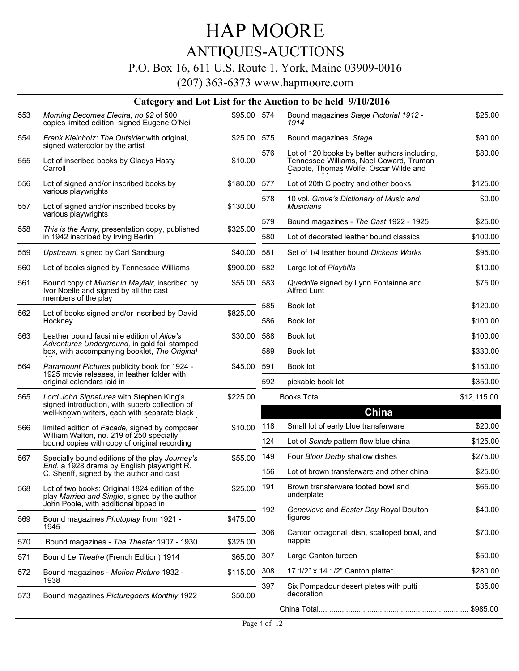## ANTIQUES-AUCTIONS

### P.O. Box 16, 611 U.S. Route 1, York, Maine 03909-0016

|     |                                                                                                 |             |     | Category and Lot List for the Auction to be held 9/10/2016                                                                        |          |
|-----|-------------------------------------------------------------------------------------------------|-------------|-----|-----------------------------------------------------------------------------------------------------------------------------------|----------|
| 553 | Morning Becomes Electra, no 92 of 500<br>copies limited edition, signed Eugene O'Neil           | \$95.00 574 |     | Bound magazines Stage Pictorial 1912 -<br>1914                                                                                    | \$25.00  |
| 554 | Frank Kleinholz: The Outsider, with original,<br>signed watercolor by the artist                | \$25.00 575 |     | Bound magazines Stage                                                                                                             | \$90.00  |
| 555 | Lot of inscribed books by Gladys Hasty<br>Carroll                                               | \$10.00     | 576 | Lot of 120 books by better authors including,<br>Tennessee Williams, Noel Coward, Truman<br>Capote, Thomas Wolfe, Oscar Wilde and | \$80.00  |
| 556 | Lot of signed and/or inscribed books by<br>various playwrights                                  | \$180.00    | 577 | Lot of 20th C poetry and other books                                                                                              | \$125.00 |
| 557 | Lot of signed and/or inscribed books by                                                         | \$130.00    | 578 | 10 vol. Grove's Dictionary of Music and<br><b>Musicians</b>                                                                       | \$0.00   |
|     | various playwrights                                                                             |             | 579 | Bound magazines - The Cast 1922 - 1925                                                                                            | \$25.00  |
| 558 | This is the Army, presentation copy, published<br>in 1942 inscribed by Irving Berlin            | \$325.00    | 580 | Lot of decorated leather bound classics                                                                                           | \$100.00 |
| 559 | Upstream, signed by Carl Sandburg                                                               | \$40.00     | 581 | Set of 1/4 leather bound Dickens Works                                                                                            | \$95.00  |
| 560 | Lot of books signed by Tennessee Williams                                                       | \$900.00    | 582 | Large lot of Playbills                                                                                                            | \$10.00  |
| 561 | Bound copy of Murder in Mayfair, inscribed by<br>Ivor Noelle and signed by all the cast         | \$55.00     | 583 | Quadrille signed by Lynn Fontainne and<br>Alfred Lunt                                                                             | \$75.00  |
|     | members of the play                                                                             |             | 585 | Book lot                                                                                                                          | \$120.00 |
| 562 | Lot of books signed and/or inscribed by David<br>Hockney                                        | \$825.00    | 586 | Book lot                                                                                                                          | \$100.00 |
| 563 | Leather bound facsimile edition of Alice's                                                      | \$30.00     | 588 | Book lot                                                                                                                          | \$100.00 |
|     | Adventures Underground, in gold foil stamped<br>box, with accompanying booklet, The Original    |             | 589 | Book lot                                                                                                                          | \$330.00 |
| 564 | Paramount Pictures publicity book for 1924 -                                                    | \$45.00     | 591 | Book lot                                                                                                                          | \$150.00 |
|     | 1925 movie releases, in leather folder with<br>original calendars laid in                       |             | 592 | pickable book lot                                                                                                                 | \$350.00 |
| 565 | Lord John Signatures with Stephen King's                                                        | \$225.00    |     |                                                                                                                                   |          |
|     | signed introduction, with superb collection of<br>well-known writers, each with separate black  |             |     | <b>China</b>                                                                                                                      |          |
| 566 | limited edition of Facade, signed by composer                                                   | \$10.00     | 118 | Small lot of early blue transferware                                                                                              | \$20.00  |
|     | William Walton, no. 219 of 250 specially<br>bound copies with copy of original recording        |             | 124 | Lot of Scinde pattern flow blue china                                                                                             | \$125.00 |
| 567 | Specially bound editions of the play Journey's                                                  | \$55.00     | 149 | Four Bloor Derby shallow dishes                                                                                                   | \$275.00 |
|     | End, a 1928 drama by English playwright R.<br>C. Sheriff, signed by the author and cast         |             | 156 | Lot of brown transferware and other china                                                                                         | \$25.00  |
| 568 | Lot of two books: Original 1824 edition of the<br>play Married and Single, signed by the author | \$25.00     | 191 | Brown transferware footed bowl and<br>underplate                                                                                  | \$65.00  |
| 569 | John Poole, with additional tipped in<br>Bound magazines Photoplay from 1921 -                  | \$475.00    | 192 | Genevieve and Easter Day Royal Doulton<br>figures                                                                                 | \$40.00  |
| 570 | 1945                                                                                            | \$325.00    | 306 | Canton octagonal dish, scalloped bowl, and<br>nappie                                                                              | \$70.00  |
|     | Bound magazines - The Theater 1907 - 1930                                                       | \$65.00     | 307 | Large Canton tureen                                                                                                               | \$50.00  |
| 571 | Bound Le Theatre (French Edition) 1914                                                          |             | 308 | 17 1/2" x 14 1/2" Canton platter                                                                                                  | \$280.00 |
| 572 | Bound magazines - Motion Picture 1932 -<br>1938                                                 | \$115.00    | 397 | Six Pompadour desert plates with putti                                                                                            | \$35.00  |
| 573 | Bound magazines Picturegoers Monthly 1922                                                       | \$50.00     |     | decoration                                                                                                                        |          |
|     |                                                                                                 |             |     |                                                                                                                                   |          |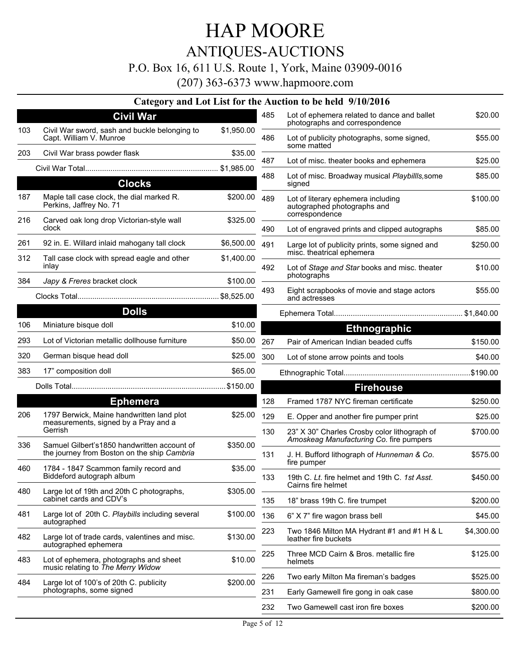### ANTIQUES-AUCTIONS

### P.O. Box 16, 611 U.S. Route 1, York, Maine 03909-0016

|     |                                                                                              |            |     | Category and Lot List for the Auction to be held 9/10/2016                              |            |
|-----|----------------------------------------------------------------------------------------------|------------|-----|-----------------------------------------------------------------------------------------|------------|
|     | <b>Civil War</b>                                                                             |            | 485 | Lot of ephemera related to dance and ballet<br>photographs and correspondence           | \$20.00    |
| 103 | Civil War sword, sash and buckle belonging to<br>Capt. William V. Munroe                     | \$1,950.00 | 486 | Lot of publicity photographs, some signed,<br>some matted                               | \$55.00    |
| 203 | Civil War brass powder flask                                                                 | \$35.00    | 487 | Lot of misc. theater books and ephemera                                                 | \$25.00    |
|     |                                                                                              |            |     |                                                                                         |            |
|     | <b>Clocks</b>                                                                                |            | 488 | Lot of misc. Broadway musical Playbillls, some<br>signed                                | \$85.00    |
| 187 | Maple tall case clock, the dial marked R.<br>Perkins, Jaffrey No. 71                         | \$200.00   | 489 | Lot of literary ephemera including<br>autographed photographs and                       | \$100.00   |
| 216 | Carved oak long drop Victorian-style wall<br>clock                                           | \$325.00   | 490 | correspondence<br>Lot of engraved prints and clipped autographs                         | \$85.00    |
| 261 | 92 in. E. Willard inlaid mahogany tall clock                                                 | \$6,500.00 | 491 | Large lot of publicity prints, some signed and                                          | \$250.00   |
| 312 | Tall case clock with spread eagle and other                                                  | \$1,400.00 |     | misc. theatrical ephemera                                                               |            |
|     | inlay                                                                                        |            | 492 | Lot of Stage and Star books and misc. theater<br>photographs                            | \$10.00    |
| 384 | Japy & Freres bracket clock                                                                  | \$100.00   | 493 | Eight scrapbooks of movie and stage actors                                              | \$55.00    |
|     |                                                                                              |            |     | and actresses                                                                           |            |
|     | <b>Dolls</b>                                                                                 |            |     |                                                                                         |            |
| 106 | Miniature bisque doll                                                                        | \$10.00    |     | <b>Ethnographic</b>                                                                     |            |
| 293 | Lot of Victorian metallic dollhouse furniture                                                | \$50.00    | 267 | Pair of American Indian beaded cuffs                                                    | \$150.00   |
| 320 | German bisque head doll                                                                      | \$25.00    | 300 | Lot of stone arrow points and tools                                                     | \$40.00    |
| 383 | 17" composition doll                                                                         | \$65.00    |     |                                                                                         |            |
|     |                                                                                              |            |     | <b>Firehouse</b>                                                                        |            |
|     | <b>Ephemera</b>                                                                              |            | 128 | Framed 1787 NYC fireman certificate                                                     | \$250.00   |
| 206 | 1797 Berwick, Maine handwritten land plot<br>measurements, signed by a Pray and a<br>Gerrish | \$25.00    | 129 | E. Opper and another fire pumper print                                                  | \$25.00    |
|     |                                                                                              |            | 130 | 23" X 30" Charles Crosby color lithograph of<br>Amoskeag Manufacturing Co. fire pumpers | \$700.00   |
| 336 | Samuel Gilbert's 1850 handwritten account of<br>the journey from Boston on the ship Cambria  | \$350.00   | 131 | J. H. Bufford lithograph of Hunneman & Co.<br>fire pumper                               | \$575.00   |
| 460 | 1784 - 1847 Scammon family record and<br>Biddeford autograph album                           | \$35.00    | 133 | 19th C. Lt. fire helmet and 19th C. 1st Asst.<br>Cairns fire helmet                     | \$450.00   |
| 480 | Large lot of 19th and 20th C photographs,<br>cabinet cards and CDV's                         | \$305.00   |     |                                                                                         |            |
|     |                                                                                              |            | 135 | 18" brass 19th C. fire trumpet                                                          | \$200.00   |
| 481 | Large lot of 20th C. Playbills including several<br>autographed                              | \$100.00   | 136 | 6" X 7" fire wagon brass bell                                                           | \$45.00    |
| 482 | Large lot of trade cards, valentines and misc.<br>autographed ephemera                       | \$130.00   | 223 | Two 1846 Milton MA Hydrant #1 and #1 H & L<br>leather fire buckets                      | \$4,300.00 |
| 483 | Lot of ephemera, photographs and sheet<br>music relating to The Merry Widow                  | \$10.00    | 225 | Three MCD Cairn & Bros. metallic fire<br>helmets                                        | \$125.00   |
| 484 | Large lot of 100's of 20th C. publicity                                                      | \$200.00   | 226 | Two early Milton Ma fireman's badges                                                    | \$525.00   |
|     | photographs, some signed                                                                     |            | 231 | Early Gamewell fire gong in oak case                                                    | \$800.00   |
|     |                                                                                              |            | 232 | Two Gamewell cast iron fire boxes                                                       | \$200.00   |
|     |                                                                                              |            |     |                                                                                         |            |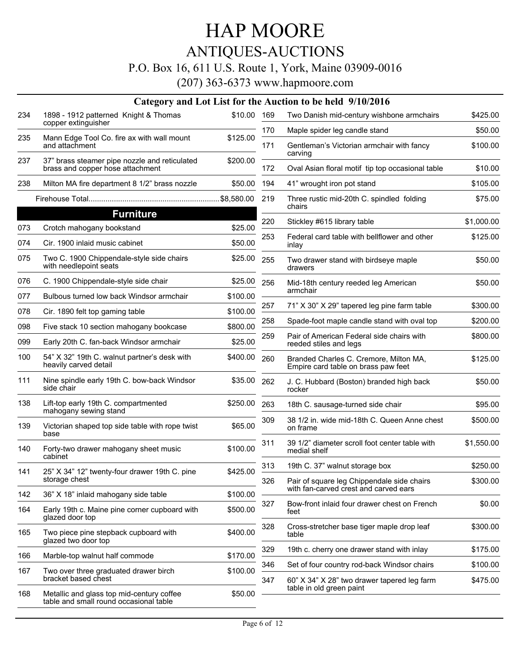## ANTIQUES-AUCTIONS

### P.O. Box 16, 611 U.S. Route 1, York, Maine 03909-0016

|     |                                                                                     |             |     | Category and Lot List for the Auction to be held 9/10/2016                          |            |
|-----|-------------------------------------------------------------------------------------|-------------|-----|-------------------------------------------------------------------------------------|------------|
| 234 | 1898 - 1912 patterned Knight & Thomas<br>copper extinguisher                        | \$10.00 169 |     | Two Danish mid-century wishbone armchairs                                           | \$425.00   |
| 235 | Mann Edge Tool Co. fire ax with wall mount                                          | \$125.00    | 170 | Maple spider leg candle stand                                                       | \$50.00    |
|     | and attachment                                                                      |             | 171 | Gentleman's Victorian armchair with fancy<br>carving                                | \$100.00   |
| 237 | 37" brass steamer pipe nozzle and reticulated<br>brass and copper hose attachment   | \$200.00    | 172 | Oval Asian floral motif tip top occasional table                                    | \$10.00    |
| 238 | Milton MA fire department 8 1/2" brass nozzle                                       | \$50.00     | 194 | 41" wrought iron pot stand                                                          | \$105.00   |
|     |                                                                                     |             | 219 | Three rustic mid-20th C. spindled folding<br>chairs                                 | \$75.00    |
|     | <b>Furniture</b>                                                                    |             |     |                                                                                     |            |
| 073 | Crotch mahogany bookstand                                                           | \$25.00     | 220 | Stickley #615 library table                                                         | \$1,000.00 |
| 074 | Cir. 1900 inlaid music cabinet                                                      | \$50.00     | 253 | Federal card table with bellflower and other<br>inlay                               | \$125.00   |
| 075 | Two C. 1900 Chippendale-style side chairs<br>with needlepoint seats                 | \$25.00     | 255 | Two drawer stand with birdseye maple<br>drawers                                     | \$50.00    |
| 076 | C. 1900 Chippendale-style side chair                                                | \$25.00     | 256 | Mid-18th century reeded leg American<br>armchair                                    | \$50.00    |
| 077 | Bulbous turned low back Windsor armchair                                            | \$100.00    |     |                                                                                     |            |
| 078 | Cir. 1890 felt top gaming table                                                     | \$100.00    | 257 | 71" X 30" X 29" tapered leg pine farm table                                         | \$300.00   |
| 098 | Five stack 10 section mahogany bookcase                                             | \$800.00    | 258 | Spade-foot maple candle stand with oval top                                         | \$200.00   |
| 099 | Early 20th C. fan-back Windsor armchair                                             | \$25.00     | 259 | Pair of American Federal side chairs with<br>reeded stiles and legs                 | \$800.00   |
| 100 | 54" X 32" 19th C. walnut partner's desk with<br>heavily carved detail               | \$400.00    | 260 | Branded Charles C. Cremore, Milton MA,<br>Empire card table on brass paw feet       | \$125.00   |
| 111 | Nine spindle early 19th C. bow-back Windsor<br>side chair                           | \$35.00     | 262 | J. C. Hubbard (Boston) branded high back<br>rocker                                  | \$50.00    |
| 138 | Lift-top early 19th C. compartmented<br>mahogany sewing stand                       | \$250.00    | 263 | 18th C. sausage-turned side chair                                                   | \$95.00    |
| 139 | Victorian shaped top side table with rope twist<br>base                             | \$65.00     | 309 | 38 1/2 in. wide mid-18th C. Queen Anne chest<br>on frame                            | \$500.00   |
| 140 | Forty-two drawer mahogany sheet music<br>cabinet                                    | \$100.00    | 311 | 39 1/2" diameter scroll foot center table with<br>medial shelf                      | \$1,550.00 |
| 141 | 25" X 34" 12" twenty-four drawer 19th C. pine                                       | \$425.00    | 313 | 19th C. 37" walnut storage box                                                      | \$250.00   |
|     | storage chest                                                                       |             | 326 | Pair of square leg Chippendale side chairs<br>with fan-carved crest and carved ears | \$300.00   |
| 142 | 36" X 18" inlaid mahogany side table                                                | \$100.00    |     |                                                                                     |            |
| 164 | Early 19th c. Maine pine corner cupboard with<br>glazed door top                    | \$500.00    | 327 | Bow-front inlaid four drawer chest on French<br>feet                                | \$0.00     |
| 165 | Two piece pine stepback cupboard with<br>glazed two door top                        | \$400.00    | 328 | Cross-stretcher base tiger maple drop leaf<br>table                                 | \$300.00   |
| 166 | Marble-top walnut half commode                                                      | \$170.00    | 329 | 19th c. cherry one drawer stand with inlay                                          | \$175.00   |
|     |                                                                                     |             | 346 | Set of four country rod-back Windsor chairs                                         | \$100.00   |
| 167 | Two over three graduated drawer birch<br>bracket based chest                        | \$100.00    | 347 | 60" X 34" X 28" two drawer tapered leg farm<br>table in old green paint             | \$475.00   |
| 168 | Metallic and glass top mid-century coffee<br>table and small round occasional table | \$50.00     |     |                                                                                     |            |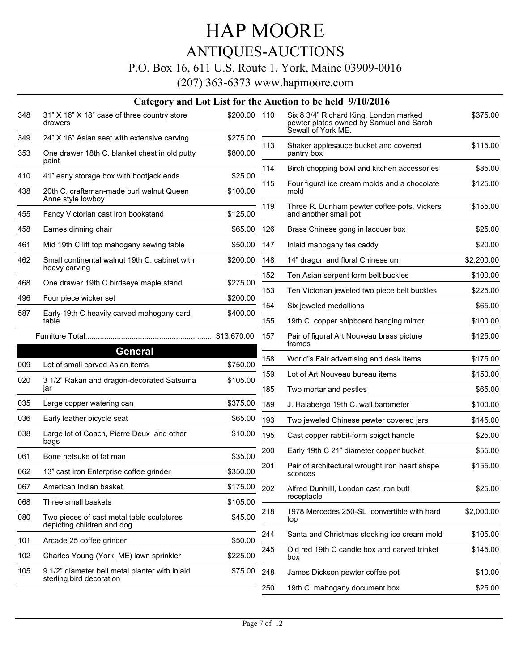## ANTIQUES-AUCTIONS

### P.O. Box 16, 611 U.S. Route 1, York, Maine 03909-0016

|     |                                                                            |              |     | Category and Lot List for the Auction to be held 9/10/2016                                              |            |
|-----|----------------------------------------------------------------------------|--------------|-----|---------------------------------------------------------------------------------------------------------|------------|
| 348 | 31" X 16" X 18" case of three country store<br>drawers                     | \$200.00 110 |     | Six 8 3/4" Richard King, London marked<br>pewter plates owned by Samuel and Sarah<br>Sewall of York ME. | \$375.00   |
| 349 | 24" X 16" Asian seat with extensive carving                                | \$275.00     | 113 | Shaker applesauce bucket and covered                                                                    | \$115.00   |
| 353 | One drawer 18th C. blanket chest in old putty<br>paint                     | \$800.00     |     | pantry box                                                                                              |            |
| 410 | 41" early storage box with bootjack ends                                   | \$25.00      | 114 | Birch chopping bowl and kitchen accessories                                                             | \$85.00    |
| 438 | 20th C. craftsman-made burl walnut Queen<br>Anne style lowboy              | \$100.00     | 115 | Four figural ice cream molds and a chocolate<br>mold                                                    | \$125.00   |
| 455 | Fancy Victorian cast iron bookstand                                        | \$125.00     | 119 | Three R. Dunham pewter coffee pots, Vickers<br>and another small pot                                    | \$155.00   |
| 458 | Eames dinning chair                                                        | \$65.00      | 126 | Brass Chinese gong in lacquer box                                                                       | \$25.00    |
| 461 | Mid 19th C lift top mahogany sewing table                                  | \$50.00      | 147 | Inlaid mahogany tea caddy                                                                               | \$20.00    |
| 462 | Small continental walnut 19th C. cabinet with                              | \$200.00     | 148 | 14" dragon and floral Chinese urn                                                                       | \$2,200.00 |
|     | heavy carving                                                              |              | 152 | Ten Asian serpent form belt buckles                                                                     | \$100.00   |
| 468 | One drawer 19th C birdseye maple stand                                     | \$275.00     | 153 | Ten Victorian jeweled two piece belt buckles                                                            | \$225.00   |
| 496 | Four piece wicker set                                                      | \$200.00     | 154 | Six jeweled medallions                                                                                  | \$65.00    |
| 587 | Early 19th C heavily carved mahogany card<br>table                         | \$400.00     | 155 | 19th C. copper shipboard hanging mirror                                                                 | \$100.00   |
|     |                                                                            |              | 157 | Pair of figural Art Nouveau brass picture                                                               | \$125.00   |
|     | <b>General</b>                                                             |              |     | frames                                                                                                  |            |
| 009 | Lot of small carved Asian items                                            | \$750.00     | 158 | World"s Fair advertising and desk items                                                                 | \$175.00   |
| 020 | 3 1/2" Rakan and dragon-decorated Satsuma                                  | \$105.00     | 159 | Lot of Art Nouveau bureau items                                                                         | \$150.00   |
|     | jar                                                                        |              | 185 | Two mortar and pestles                                                                                  | \$65.00    |
| 035 | Large copper watering can                                                  | \$375.00     | 189 | J. Halabergo 19th C. wall barometer                                                                     | \$100.00   |
| 036 | Early leather bicycle seat                                                 | \$65.00      | 193 | Two jeweled Chinese pewter covered jars                                                                 | \$145.00   |
| 038 | Large lot of Coach, Pierre Deux and other<br>bags                          | \$10.00      | 195 | Cast copper rabbit-form spigot handle                                                                   | \$25.00    |
| 061 | Bone netsuke of fat man                                                    | \$35.00      | 200 | Early 19th C 21" diameter copper bucket                                                                 | \$55.00    |
| 062 | 13" cast iron Enterprise coffee grinder                                    | \$350.00     | 201 | Pair of architectural wrought iron heart shape<br>sconces                                               | \$155.00   |
| 067 | American Indian basket                                                     | \$175.00     | 202 | Alfred Dunhilll, London cast iron butt                                                                  | \$25.00    |
| 068 | Three small baskets                                                        | \$105.00     |     | receptacle                                                                                              |            |
| 080 | Two pieces of cast metal table sculptures<br>depicting children and dog    | \$45.00      | 218 | 1978 Mercedes 250-SL convertible with hard<br>top                                                       | \$2,000.00 |
| 101 | Arcade 25 coffee grinder                                                   | \$50.00      | 244 | Santa and Christmas stocking ice cream mold                                                             | \$105.00   |
|     |                                                                            |              | 245 | Old red 19th C candle box and carved trinket                                                            | \$145.00   |
| 102 | Charles Young (York, ME) lawn sprinkler                                    | \$225.00     |     | box                                                                                                     |            |
| 105 | 9 1/2" diameter bell metal planter with inlaid<br>sterling bird decoration | \$75.00      | 248 | James Dickson pewter coffee pot                                                                         | \$10.00    |
|     |                                                                            |              | 250 | 19th C. mahogany document box                                                                           | \$25.00    |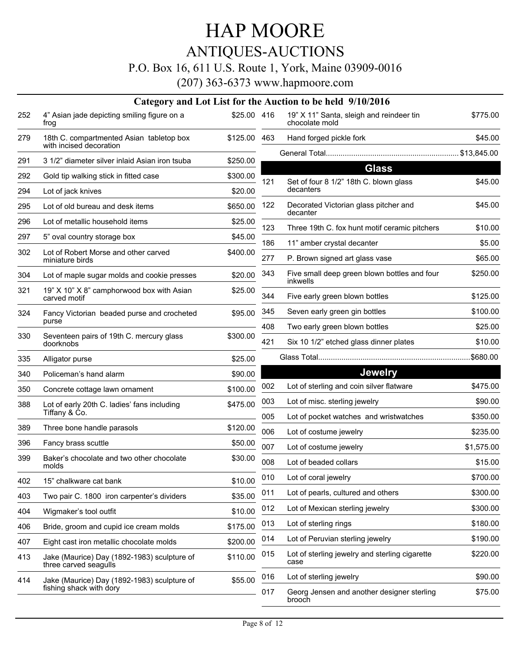## HAP MOORE ANTIQUES-AUCTIONS

### P.O. Box 16, 611 U.S. Route 1, York, Maine 03909-0016

|     |                                                                      |              |     | Category and Lot List for the Auction to be held 9/10/2016 |            |
|-----|----------------------------------------------------------------------|--------------|-----|------------------------------------------------------------|------------|
| 252 | 4" Asian jade depicting smiling figure on a<br>froq                  | \$25.00 416  |     | 19" X 11" Santa, sleigh and reindeer tin<br>chocolate mold | \$775.00   |
| 279 | 18th C. compartmented Asian tabletop box<br>with incised decoration  | \$125.00 463 |     | Hand forged pickle fork                                    | \$45.00    |
| 291 | 3 1/2" diameter silver inlaid Asian iron tsuba                       | \$250.00     |     |                                                            |            |
| 292 | Gold tip walking stick in fitted case                                | \$300.00     |     | <b>Glass</b>                                               |            |
| 294 | Lot of jack knives                                                   | \$20.00      | 121 | Set of four 8 1/2" 18th C. blown glass<br>decanters        | \$45.00    |
|     |                                                                      |              | 122 | Decorated Victorian glass pitcher and                      | \$45.00    |
| 295 | Lot of old bureau and desk items                                     | \$650.00     |     | decanter                                                   |            |
| 296 | Lot of metallic household items                                      | \$25.00      | 123 | Three 19th C. fox hunt motif ceramic pitchers              | \$10.00    |
| 297 | 5" oval country storage box                                          | \$45.00      | 186 | 11" amber crystal decanter                                 | \$5.00     |
| 302 | Lot of Robert Morse and other carved<br>miniature birds              | \$400.00     | 277 | P. Brown signed art glass vase                             | \$65.00    |
| 304 | Lot of maple sugar molds and cookie presses                          | \$20.00      | 343 | Five small deep green blown bottles and four<br>inkwells   | \$250.00   |
| 321 | 19" X 10" X 8" camphorwood box with Asian<br>carved motif            | \$25.00      | 344 | Five early green blown bottles                             | \$125.00   |
| 324 | Fancy Victorian beaded purse and crocheted                           | \$95.00      | 345 | Seven early green gin bottles                              | \$100.00   |
|     | purse                                                                |              | 408 | Two early green blown bottles                              | \$25.00    |
| 330 | Seventeen pairs of 19th C. mercury glass<br>doorknobs                | \$300.00     | 421 | Six 10 1/2" etched glass dinner plates                     | \$10.00    |
| 335 | Alligator purse                                                      | \$25.00      |     |                                                            | .\$680.00  |
| 340 | Policeman's hand alarm                                               | \$90.00      |     | <b>Jewelry</b>                                             |            |
| 350 | Concrete cottage lawn ornament                                       | \$100.00     | 002 | Lot of sterling and coin silver flatware                   | \$475.00   |
| 388 | Lot of early 20th C. ladies' fans including<br>Tiffany & Ćo.         | \$475.00     | 003 | Lot of misc. sterling jewelry                              | \$90.00    |
|     |                                                                      |              | 005 | Lot of pocket watches and wristwatches                     | \$350.00   |
| 389 | Three bone handle parasols                                           | \$120.00     | 006 | Lot of costume jewelry                                     | \$235.00   |
| 396 | Fancy brass scuttle                                                  | \$50.00      | 007 | Lot of costume jewelry                                     | \$1,575.00 |
| 399 | Baker's chocolate and two other chocolate<br>molds                   | \$30.00      | 008 | Lot of beaded collars                                      | \$15.00    |
| 402 | 15" chalkware cat bank                                               | \$10.00      | 010 | Lot of coral jewelry                                       | \$700.00   |
| 403 | Two pair C. 1800 iron carpenter's dividers                           | \$35.00      | 011 | Lot of pearls, cultured and others                         | \$300.00   |
| 404 | Wigmaker's tool outfit                                               | \$10.00      | 012 | Lot of Mexican sterling jewelry                            | \$300.00   |
| 406 | Bride, groom and cupid ice cream molds                               | \$175.00     | 013 | Lot of sterling rings                                      | \$180.00   |
| 407 | Eight cast iron metallic chocolate molds                             | \$200.00     | 014 | Lot of Peruvian sterling jewelry                           | \$190.00   |
| 413 | Jake (Maurice) Day (1892-1983) sculpture of<br>three carved seagulls | \$110.00     | 015 | Lot of sterling jewelry and sterling cigarette<br>case     | \$220.00   |
| 414 | Jake (Maurice) Day (1892-1983) sculpture of                          | \$55.00      | 016 | Lot of sterling jewelry                                    | \$90.00    |
|     | fishing shack with dory                                              |              | 017 | Georg Jensen and another designer sterling<br>brooch       | \$75.00    |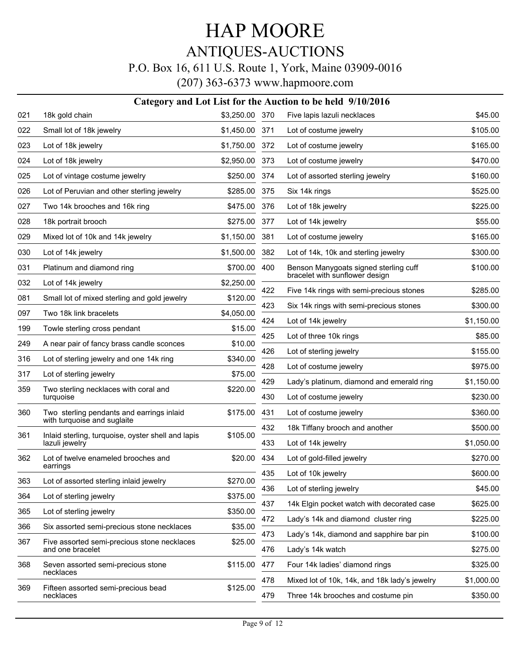## ANTIQUES-AUCTIONS

### P.O. Box 16, 611 U.S. Route 1, York, Maine 03909-0016

|     | Category and Lot List for the Auction to be held 9/10/2016           |                |     |                                                                         |            |  |  |  |
|-----|----------------------------------------------------------------------|----------------|-----|-------------------------------------------------------------------------|------------|--|--|--|
| 021 | 18k gold chain                                                       | \$3,250.00 370 |     | Five lapis lazuli necklaces                                             | \$45.00    |  |  |  |
| 022 | Small lot of 18k jewelry                                             | \$1,450.00     | 371 | Lot of costume jewelry                                                  | \$105.00   |  |  |  |
| 023 | Lot of 18k jewelry                                                   | \$1,750.00     | 372 | Lot of costume jewelry                                                  | \$165.00   |  |  |  |
| 024 | Lot of 18k jewelry                                                   | \$2,950.00     | 373 | Lot of costume jewelry                                                  | \$470.00   |  |  |  |
| 025 | Lot of vintage costume jewelry                                       | \$250.00       | 374 | Lot of assorted sterling jewelry                                        | \$160.00   |  |  |  |
| 026 | Lot of Peruvian and other sterling jewelry                           | \$285.00       | 375 | Six 14k rings                                                           | \$525.00   |  |  |  |
| 027 | Two 14k brooches and 16k ring                                        | \$475.00       | 376 | Lot of 18k jewelry                                                      | \$225.00   |  |  |  |
| 028 | 18k portrait brooch                                                  | \$275.00       | 377 | Lot of 14k jewelry                                                      | \$55.00    |  |  |  |
| 029 | Mixed lot of 10k and 14k jewelry                                     | \$1,150.00     | 381 | Lot of costume jewelry                                                  | \$165.00   |  |  |  |
| 030 | Lot of 14k jewelry                                                   | \$1,500.00     | 382 | Lot of 14k, 10k and sterling jewelry                                    | \$300.00   |  |  |  |
| 031 | Platinum and diamond ring                                            | \$700.00       | 400 | Benson Manygoats signed sterling cuff<br>bracelet with sunflower design | \$100.00   |  |  |  |
| 032 | Lot of 14k jewelry                                                   | \$2,250.00     | 422 | Five 14k rings with semi-precious stones                                | \$285.00   |  |  |  |
| 081 | Small lot of mixed sterling and gold jewelry                         | \$120.00       | 423 | Six 14k rings with semi-precious stones                                 | \$300.00   |  |  |  |
| 097 | Two 18k link bracelets                                               | \$4,050.00     | 424 | Lot of 14k jewelry                                                      | \$1,150.00 |  |  |  |
| 199 | Towle sterling cross pendant                                         | \$15.00        | 425 | Lot of three 10k rings                                                  | \$85.00    |  |  |  |
| 249 | A near pair of fancy brass candle sconces                            | \$10.00        | 426 | Lot of sterling jewelry                                                 | \$155.00   |  |  |  |
| 316 | Lot of sterling jewelry and one 14k ring                             | \$340.00       | 428 | Lot of costume jewelry                                                  | \$975.00   |  |  |  |
| 317 | Lot of sterling jewelry                                              | \$75.00        | 429 | Lady's platinum, diamond and emerald ring                               | \$1,150.00 |  |  |  |
| 359 | Two sterling necklaces with coral and<br>turquoise                   | \$220.00       | 430 | Lot of costume jewelry                                                  | \$230.00   |  |  |  |
| 360 | Two sterling pendants and earrings inlaid                            | \$175.00       | 431 | Lot of costume jewelry                                                  | \$360.00   |  |  |  |
|     | with turquoise and suglaite                                          |                | 432 | 18k Tiffany brooch and another                                          | \$500.00   |  |  |  |
| 361 | Inlaid sterling, turquoise, oyster shell and lapis<br>lazuli jewelry | \$105.00       | 433 | Lot of 14k jewelry                                                      | \$1,050.00 |  |  |  |
| 362 | Lot of twelve enameled brooches and                                  | \$20.00        | 434 | Lot of gold-filled jewelry                                              | \$270.00   |  |  |  |
|     | earrings                                                             |                | 435 | Lot of 10k jewelry                                                      | \$600.00   |  |  |  |
| 363 | Lot of assorted sterling inlaid jewelry                              | \$270.00       | 436 | Lot of sterling jewelry                                                 | \$45.00    |  |  |  |
| 364 | Lot of sterling jewelry                                              | \$375.00       | 437 | 14k Elgin pocket watch with decorated case                              | \$625.00   |  |  |  |
| 365 | Lot of sterling jewelry                                              | \$350.00       | 472 | Lady's 14k and diamond cluster ring                                     | \$225.00   |  |  |  |
| 366 | Six assorted semi-precious stone necklaces                           | \$35.00        | 473 | Lady's 14k, diamond and sapphire bar pin                                | \$100.00   |  |  |  |
| 367 | Five assorted semi-precious stone necklaces<br>and one bracelet      | \$25.00        | 476 | Lady's 14k watch                                                        | \$275.00   |  |  |  |
| 368 | Seven assorted semi-precious stone                                   | \$115.00       | 477 | Four 14k ladies' diamond rings                                          | \$325.00   |  |  |  |
|     | necklaces                                                            |                | 478 | Mixed lot of 10k, 14k, and 18k lady's jewelry                           | \$1,000.00 |  |  |  |
| 369 | Fifteen assorted semi-precious bead<br>necklaces                     | \$125.00       | 479 | Three 14k brooches and costume pin                                      | \$350.00   |  |  |  |
|     |                                                                      |                |     |                                                                         |            |  |  |  |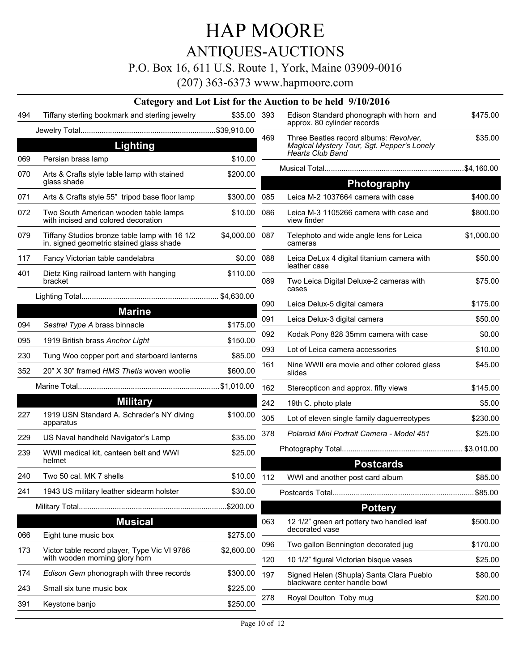ANTIQUES-AUCTIONS

P.O. Box 16, 611 U.S. Route 1, York, Maine 03909-0016

|     |                                                                                           |                |            | Category and Lot List for the Auction to be held 9/10/2016                                               |                     |
|-----|-------------------------------------------------------------------------------------------|----------------|------------|----------------------------------------------------------------------------------------------------------|---------------------|
| 494 | Tiffany sterling bookmark and sterling jewelry                                            | \$35.00 393    |            | Edison Standard phonograph with horn and<br>approx. 80 cylinder records                                  | \$475.00            |
|     |                                                                                           |                |            |                                                                                                          |                     |
|     | <b>Lighting</b>                                                                           |                | 469        | Three Beatles record albums: Revolver,<br>Magical Mystery Tour, Sgt. Pepper's Lonely<br>Hearts Club Band | \$35.00             |
| 069 | Persian brass lamp                                                                        | \$10.00        |            |                                                                                                          |                     |
| 070 | Arts & Crafts style table lamp with stained<br>glass shade                                | \$200.00       |            | <b>Photography</b>                                                                                       |                     |
| 071 | Arts & Crafts style 55" tripod base floor lamp                                            | \$300.00       | 085        | Leica M-2 1037664 camera with case                                                                       | \$400.00            |
| 072 | Two South American wooden table lamps<br>with incised and colored decoration              | \$10.00        | 086        | Leica M-3 1105266 camera with case and<br>view finder                                                    | \$800.00            |
| 079 | Tiffany Studios bronze table lamp with 16 1/2<br>in. signed geometric stained glass shade | \$4,000.00 087 |            | Telephoto and wide angle lens for Leica<br>cameras                                                       | \$1,000.00          |
| 117 | Fancy Victorian table candelabra                                                          | \$0.00         | 088        | Leica DeLux 4 digital titanium camera with<br>leather case                                               | \$50.00             |
| 401 | Dietz King railroad lantern with hanging<br>bracket                                       | \$110.00       | 089        | Two Leica Digital Deluxe-2 cameras with<br>cases                                                         | \$75.00             |
|     |                                                                                           |                | 090        | Leica Delux-5 digital camera                                                                             | \$175.00            |
|     | <b>Marine</b>                                                                             |                | 091        | Leica Delux-3 digital camera                                                                             | \$50.00             |
| 094 | Sestrel Type A brass binnacle                                                             | \$175.00       | 092        | Kodak Pony 828 35mm camera with case                                                                     | \$0.00              |
| 095 | 1919 British brass Anchor Light                                                           | \$150.00       | 093        | Lot of Leica camera accessories                                                                          | \$10.00             |
| 230 | Tung Woo copper port and starboard lanterns                                               | \$85.00        | 161        | Nine WWII era movie and other colored glass                                                              | \$45.00             |
| 352 | 20" X 30" framed HMS Thetis woven woolie                                                  | \$600.00       |            | slides                                                                                                   |                     |
|     |                                                                                           |                | 162        | Stereopticon and approx. fifty views                                                                     | \$145.00            |
|     | <b>Military</b>                                                                           |                | 242        | 19th C. photo plate                                                                                      | \$5.00              |
| 227 | 1919 USN Standard A. Schrader's NY diving<br>apparatus                                    | \$100.00       | 305        | Lot of eleven single family daguerreotypes                                                               | \$230.00            |
| 229 | US Naval handheld Navigator's Lamp                                                        | \$35.00        | 378        | Polaroid Mini Portrait Camera - Model 451                                                                | \$25.00             |
| 239 | WWII medical kit, canteen belt and WWI                                                    | \$25.00        |            |                                                                                                          |                     |
|     | helmet                                                                                    |                |            | <b>Postcards</b>                                                                                         |                     |
| 240 | Two 50 cal. MK 7 shells                                                                   | \$10.00 112    |            | WWI and another post card album                                                                          | \$85.00             |
| 241 | 1943 US military leather sidearm holster                                                  | \$30.00        |            |                                                                                                          |                     |
|     |                                                                                           |                |            | <b>Pottery</b>                                                                                           |                     |
|     | <b>Musical</b>                                                                            |                | 063        | 12 1/2" green art pottery two handled leaf<br>decorated vase                                             | \$500.00            |
| 066 | Eight tune music box                                                                      | \$275.00       |            |                                                                                                          |                     |
| 173 | Victor table record player, Type Vic VI 9786<br>with wooden morning glory horn            | \$2,600.00     | 096<br>120 | Two gallon Bennington decorated jug<br>10 1/2" figural Victorian bisque vases                            | \$170.00<br>\$25.00 |
| 174 | Edison Gem phonograph with three records                                                  | \$300.00       | 197        | Signed Helen (Shupla) Santa Clara Pueblo                                                                 | \$80.00             |
| 243 | Small six tune music box                                                                  | \$225.00       |            | blackware center handle bowl                                                                             |                     |
| 391 | Keystone banjo                                                                            | \$250.00       | 278        | Royal Doulton Toby mug                                                                                   | \$20.00             |
|     |                                                                                           |                |            |                                                                                                          |                     |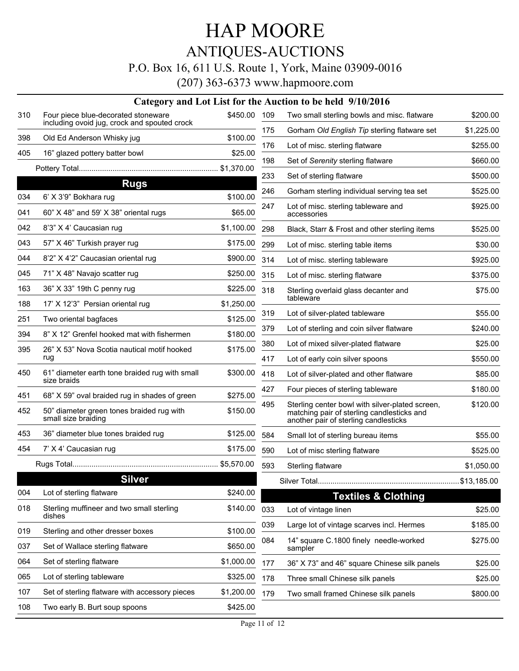## ANTIQUES-AUCTIONS

### P.O. Box 16, 611 U.S. Route 1, York, Maine 03909-0016

|     |                                                                                     |              |     | Category and Lot List for the Auction to be held 9/10/2016                                                                             |             |
|-----|-------------------------------------------------------------------------------------|--------------|-----|----------------------------------------------------------------------------------------------------------------------------------------|-------------|
| 310 | Four piece blue-decorated stoneware<br>including ovoid jug, crock and spouted crock | \$450.00 109 |     | Two small sterling bowls and misc. flatware                                                                                            | \$200.00    |
| 398 | Old Ed Anderson Whisky jug                                                          | \$100.00     | 175 | Gorham Old English Tip sterling flatware set                                                                                           | \$1,225.00  |
| 405 |                                                                                     |              | 176 | Lot of misc. sterling flatware                                                                                                         | \$255.00    |
|     | 16" glazed pottery batter bowl                                                      | \$25.00      | 198 | Set of Serenity sterling flatware                                                                                                      | \$660.00    |
|     |                                                                                     |              | 233 | Set of sterling flatware                                                                                                               | \$500.00    |
| 034 | <b>Rugs</b><br>6' X 3'9" Bokhara rug                                                | \$100.00     | 246 | Gorham sterling individual serving tea set                                                                                             | \$525.00    |
| 041 | 60" X 48" and 59' X 38" oriental rugs                                               | \$65.00      | 247 | Lot of misc. sterling tableware and<br>accessories                                                                                     | \$925.00    |
| 042 | 8'3" X 4' Caucasian rug                                                             | \$1,100.00   | 298 | Black, Starr & Frost and other sterling items                                                                                          | \$525.00    |
| 043 | 57" X 46" Turkish prayer rug                                                        | \$175.00     | 299 | Lot of misc. sterling table items                                                                                                      | \$30.00     |
| 044 | 8'2" X 4'2" Caucasian oriental rug                                                  | \$900.00     | 314 | Lot of misc. sterling tableware                                                                                                        | \$925.00    |
| 045 | 71" X 48" Navajo scatter rug                                                        | \$250.00     | 315 | Lot of misc. sterling flatware                                                                                                         | \$375.00    |
| 163 | 36" X 33" 19th C penny rug                                                          | \$225.00     | 318 | Sterling overlaid glass decanter and                                                                                                   | \$75.00     |
| 188 | 17' X 12'3" Persian oriental rug                                                    | \$1,250.00   |     | tableware                                                                                                                              |             |
| 251 | Two oriental bagfaces                                                               | \$125.00     | 319 | Lot of silver-plated tableware                                                                                                         | \$55.00     |
| 394 | 8" X 12" Grenfel hooked mat with fishermen                                          | \$180.00     | 379 | Lot of sterling and coin silver flatware                                                                                               | \$240.00    |
| 395 | 26" X 53" Nova Scotia nautical motif hooked                                         | \$175.00     | 380 | Lot of mixed silver-plated flatware                                                                                                    | \$25.00     |
|     | rug                                                                                 |              | 417 | Lot of early coin silver spoons                                                                                                        | \$550.00    |
| 450 | 61" diameter earth tone braided rug with small<br>size braids                       | \$300.00     | 418 | Lot of silver-plated and other flatware                                                                                                | \$85.00     |
| 451 | 68" X 59" oval braided rug in shades of green                                       | \$275.00     | 427 | Four pieces of sterling tableware                                                                                                      | \$180.00    |
| 452 | 50" diameter green tones braided rug with<br>small size braiding                    | \$150.00     | 495 | Sterling center bowl with silver-plated screen,<br>matching pair of sterling candlesticks and<br>another pair of sterling candlesticks | \$120.00    |
| 453 | 36" diameter blue tones braided rug                                                 | \$125.00     | 584 | Small lot of sterling bureau items                                                                                                     | \$55.00     |
| 454 | 7' X 4' Caucasian rug                                                               | \$175.00     | 590 | Lot of misc sterling flatware                                                                                                          | \$525.00    |
|     |                                                                                     |              | 593 | Sterling flatware                                                                                                                      | \$1,050.00  |
|     | <b>Silver</b>                                                                       |              |     | Silver Total                                                                                                                           | \$13,185.00 |
| 004 | Lot of sterling flatware                                                            | \$240.00     |     | <b>Textiles &amp; Clothing</b>                                                                                                         |             |
| 018 | Sterling muffineer and two small sterling<br>dishes                                 | \$140.00     | 033 | Lot of vintage linen                                                                                                                   | \$25.00     |
| 019 | Sterling and other dresser boxes                                                    | \$100.00     | 039 | Large lot of vintage scarves incl. Hermes                                                                                              | \$185.00    |
| 037 | Set of Wallace sterling flatware                                                    | \$650.00     | 084 | 14" square C.1800 finely needle-worked<br>sampler                                                                                      | \$275.00    |
| 064 | Set of sterling flatware                                                            | \$1,000.00   | 177 | 36" X 73" and 46" square Chinese silk panels                                                                                           | \$25.00     |
| 065 | Lot of sterling tableware                                                           | \$325.00     | 178 | Three small Chinese silk panels                                                                                                        | \$25.00     |
| 107 | Set of sterling flatware with accessory pieces                                      | \$1,200.00   | 179 | Two small framed Chinese silk panels                                                                                                   | \$800.00    |
| 108 | Two early B. Burt soup spoons                                                       | \$425.00     |     |                                                                                                                                        |             |
|     |                                                                                     |              |     |                                                                                                                                        |             |